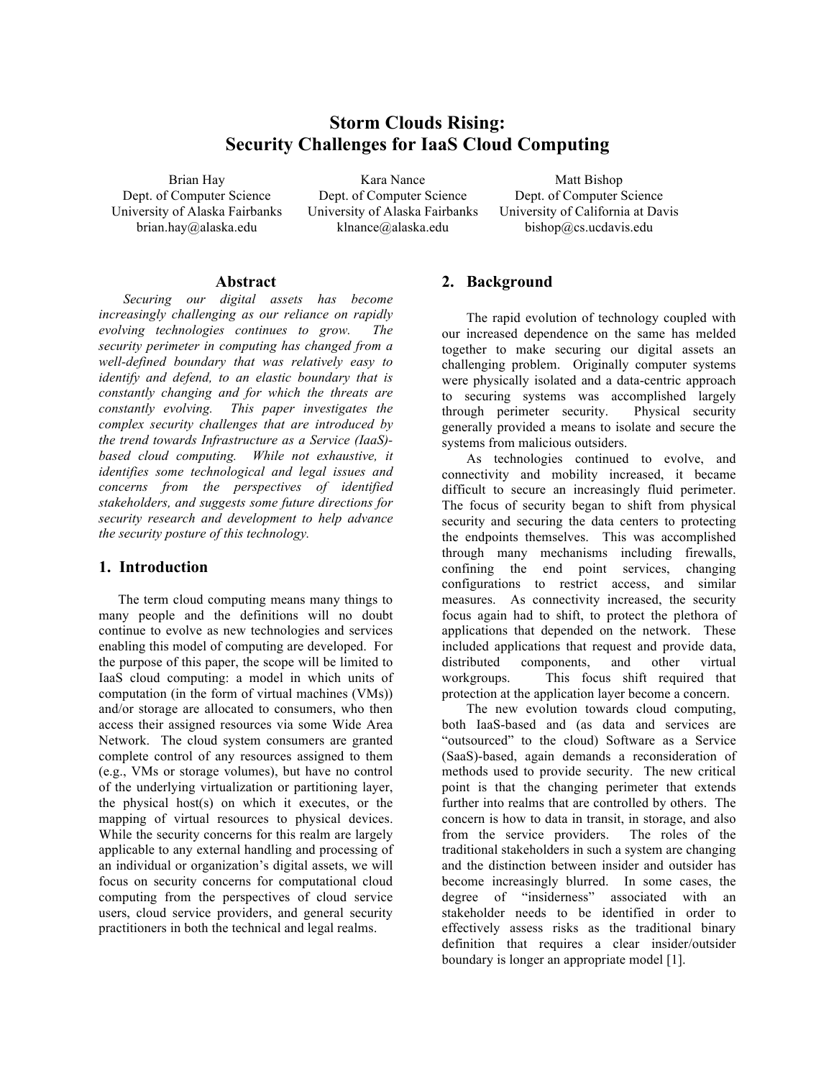# **Storm Clouds Rising: Security Challenges for IaaS Cloud Computing**

Brian Hay Kara Nance Matt Bishop Dept. of Computer Science Dept. of Computer Science Dept. of Computer Science brian.hay@alaska.edu klnance@alaska.edu bishop@cs.ucdavis.edu

University of Alaska Fairbanks University of Alaska Fairbanks University of California at Davis

#### **Abstract**

*Securing our digital assets has become increasingly challenging as our reliance on rapidly evolving technologies continues to grow. The security perimeter in computing has changed from a well-defined boundary that was relatively easy to identify and defend, to an elastic boundary that is constantly changing and for which the threats are constantly evolving. This paper investigates the complex security challenges that are introduced by the trend towards Infrastructure as a Service (IaaS) based cloud computing. While not exhaustive, it identifies some technological and legal issues and concerns from the perspectives of identified stakeholders, and suggests some future directions for security research and development to help advance the security posture of this technology.*

#### **1. Introduction**

The term cloud computing means many things to many people and the definitions will no doubt continue to evolve as new technologies and services enabling this model of computing are developed. For the purpose of this paper, the scope will be limited to IaaS cloud computing: a model in which units of computation (in the form of virtual machines (VMs)) and/or storage are allocated to consumers, who then access their assigned resources via some Wide Area Network. The cloud system consumers are granted complete control of any resources assigned to them (e.g., VMs or storage volumes), but have no control of the underlying virtualization or partitioning layer, the physical host(s) on which it executes, or the mapping of virtual resources to physical devices. While the security concerns for this realm are largely applicable to any external handling and processing of an individual or organization's digital assets, we will focus on security concerns for computational cloud computing from the perspectives of cloud service users, cloud service providers, and general security practitioners in both the technical and legal realms.

# **2. Background**

The rapid evolution of technology coupled with our increased dependence on the same has melded together to make securing our digital assets an challenging problem. Originally computer systems were physically isolated and a data-centric approach to securing systems was accomplished largely<br>through perimeter security. Physical security through perimeter security. generally provided a means to isolate and secure the systems from malicious outsiders.

As technologies continued to evolve, and connectivity and mobility increased, it became difficult to secure an increasingly fluid perimeter. The focus of security began to shift from physical security and securing the data centers to protecting the endpoints themselves. This was accomplished through many mechanisms including firewalls, confining the end point services, changing configurations to restrict access, and similar measures. As connectivity increased, the security focus again had to shift, to protect the plethora of applications that depended on the network. These included applications that request and provide data, distributed components, and other virtual workgroups. This focus shift required that protection at the application layer become a concern.

The new evolution towards cloud computing, both IaaS-based and (as data and services are "outsourced" to the cloud) Software as a Service (SaaS)-based, again demands a reconsideration of methods used to provide security. The new critical point is that the changing perimeter that extends further into realms that are controlled by others. The concern is how to data in transit, in storage, and also from the service providers. The roles of the traditional stakeholders in such a system are changing and the distinction between insider and outsider has become increasingly blurred. In some cases, the degree of "insiderness" associated with an stakeholder needs to be identified in order to effectively assess risks as the traditional binary definition that requires a clear insider/outsider boundary is longer an appropriate model [1].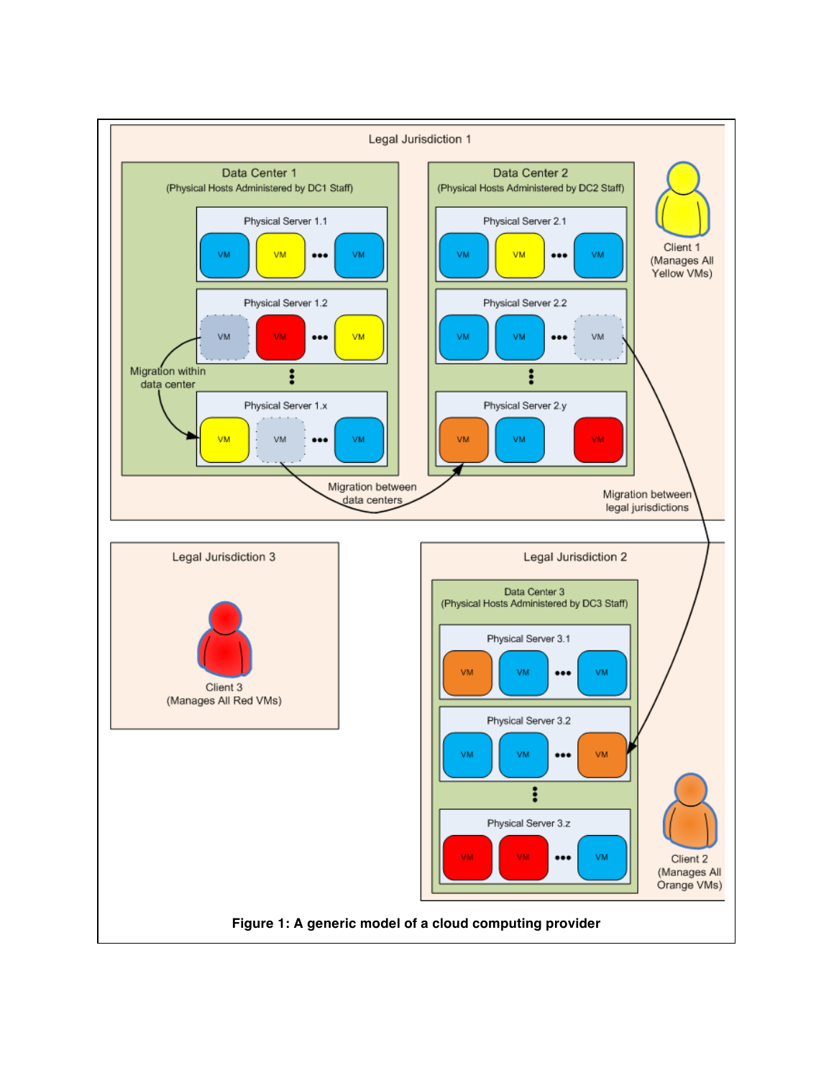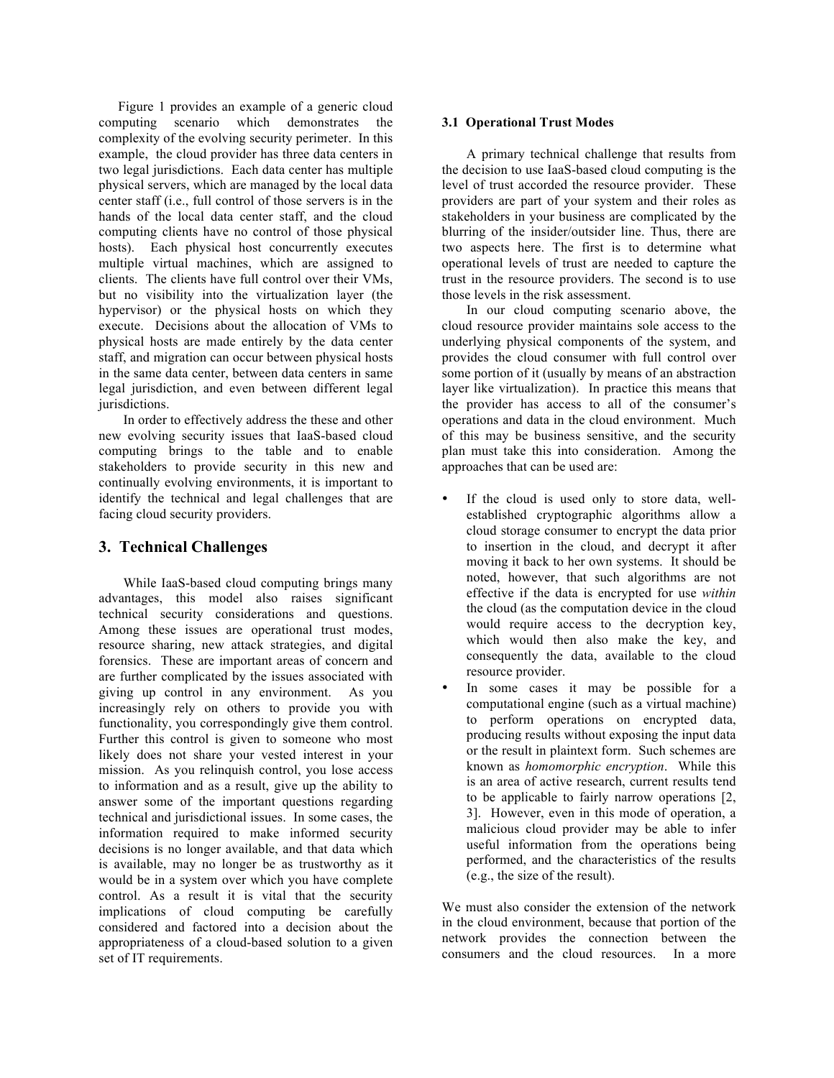Figure 1 provides an example of a generic cloud computing scenario which demonstrates the complexity of the evolving security perimeter. In this example, the cloud provider has three data centers in two legal jurisdictions. Each data center has multiple physical servers, which are managed by the local data center staff (i.e., full control of those servers is in the hands of the local data center staff, and the cloud computing clients have no control of those physical hosts). Each physical host concurrently executes multiple virtual machines, which are assigned to clients. The clients have full control over their VMs, but no visibility into the virtualization layer (the hypervisor) or the physical hosts on which they execute. Decisions about the allocation of VMs to physical hosts are made entirely by the data center staff, and migration can occur between physical hosts in the same data center, between data centers in same legal jurisdiction, and even between different legal jurisdictions.

In order to effectively address the these and other new evolving security issues that IaaS-based cloud computing brings to the table and to enable stakeholders to provide security in this new and continually evolving environments, it is important to identify the technical and legal challenges that are facing cloud security providers.

# **3. Technical Challenges**

While IaaS-based cloud computing brings many advantages, this model also raises significant technical security considerations and questions. Among these issues are operational trust modes, resource sharing, new attack strategies, and digital forensics. These are important areas of concern and are further complicated by the issues associated with giving up control in any environment. As you increasingly rely on others to provide you with functionality, you correspondingly give them control. Further this control is given to someone who most likely does not share your vested interest in your mission. As you relinquish control, you lose access to information and as a result, give up the ability to answer some of the important questions regarding technical and jurisdictional issues. In some cases, the information required to make informed security decisions is no longer available, and that data which is available, may no longer be as trustworthy as it would be in a system over which you have complete control. As a result it is vital that the security implications of cloud computing be carefully considered and factored into a decision about the appropriateness of a cloud-based solution to a given set of IT requirements.

#### **3.1 Operational Trust Modes**

A primary technical challenge that results from the decision to use IaaS-based cloud computing is the level of trust accorded the resource provider. These providers are part of your system and their roles as stakeholders in your business are complicated by the blurring of the insider/outsider line. Thus, there are two aspects here. The first is to determine what operational levels of trust are needed to capture the trust in the resource providers. The second is to use those levels in the risk assessment.

In our cloud computing scenario above, the cloud resource provider maintains sole access to the underlying physical components of the system, and provides the cloud consumer with full control over some portion of it (usually by means of an abstraction layer like virtualization). In practice this means that the provider has access to all of the consumer's operations and data in the cloud environment. Much of this may be business sensitive, and the security plan must take this into consideration. Among the approaches that can be used are:

- If the cloud is used only to store data, wellestablished cryptographic algorithms allow a cloud storage consumer to encrypt the data prior to insertion in the cloud, and decrypt it after moving it back to her own systems. It should be noted, however, that such algorithms are not effective if the data is encrypted for use *within* the cloud (as the computation device in the cloud would require access to the decryption key, which would then also make the key, and consequently the data, available to the cloud resource provider.
- In some cases it may be possible for a computational engine (such as a virtual machine) to perform operations on encrypted data, producing results without exposing the input data or the result in plaintext form. Such schemes are known as *homomorphic encryption*. While this is an area of active research, current results tend to be applicable to fairly narrow operations [2, 3]. However, even in this mode of operation, a malicious cloud provider may be able to infer useful information from the operations being performed, and the characteristics of the results (e.g., the size of the result).

We must also consider the extension of the network in the cloud environment, because that portion of the network provides the connection between the consumers and the cloud resources. In a more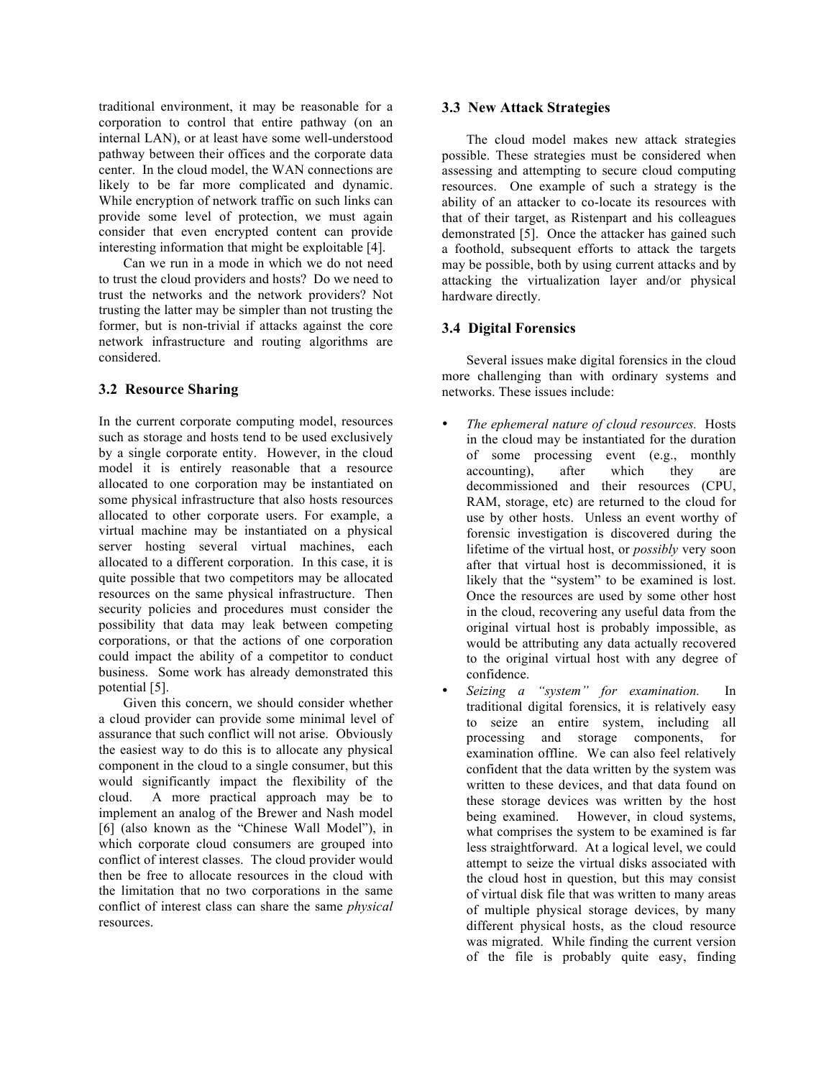traditional environment, it may be reasonable for a corporation to control that entire pathway (on an internal LAN), or at least have some well-understood pathway between their offices and the corporate data center. In the cloud model, the WAN connections are likely to be far more complicated and dynamic. While encryption of network traffic on such links can provide some level of protection, we must again consider that even encrypted content can provide interesting information that might be exploitable [4].

Can we run in a mode in which we do not need to trust the cloud providers and hosts? Do we need to trust the networks and the network providers? Not trusting the latter may be simpler than not trusting the former, but is non-trivial if attacks against the core network infrastructure and routing algorithms are considered.

#### **3.2 Resource Sharing**

In the current corporate computing model, resources such as storage and hosts tend to be used exclusively by a single corporate entity. However, in the cloud model it is entirely reasonable that a resource allocated to one corporation may be instantiated on some physical infrastructure that also hosts resources allocated to other corporate users. For example, a virtual machine may be instantiated on a physical server hosting several virtual machines, each allocated to a different corporation. In this case, it is quite possible that two competitors may be allocated resources on the same physical infrastructure. Then security policies and procedures must consider the possibility that data may leak between competing corporations, or that the actions of one corporation could impact the ability of a competitor to conduct business. Some work has already demonstrated this potential [5].

Given this concern, we should consider whether a cloud provider can provide some minimal level of assurance that such conflict will not arise. Obviously the easiest way to do this is to allocate any physical component in the cloud to a single consumer, but this would significantly impact the flexibility of the cloud. A more practical approach may be to implement an analog of the Brewer and Nash model [6] (also known as the "Chinese Wall Model"), in which corporate cloud consumers are grouped into conflict of interest classes. The cloud provider would then be free to allocate resources in the cloud with the limitation that no two corporations in the same conflict of interest class can share the same *physical* resources.

#### **3.3 New Attack Strategies**

The cloud model makes new attack strategies possible. These strategies must be considered when assessing and attempting to secure cloud computing resources. One example of such a strategy is the ability of an attacker to co-locate its resources with that of their target, as Ristenpart and his colleagues demonstrated [5]. Once the attacker has gained such a foothold, subsequent efforts to attack the targets may be possible, both by using current attacks and by attacking the virtualization layer and/or physical hardware directly.

#### **3.4 Digital Forensics**

Several issues make digital forensics in the cloud more challenging than with ordinary systems and networks. These issues include:

- *The ephemeral nature of cloud resources.* Hosts in the cloud may be instantiated for the duration of some processing event (e.g., monthly accounting), after which they are decommissioned and their resources (CPU, RAM, storage, etc) are returned to the cloud for use by other hosts. Unless an event worthy of forensic investigation is discovered during the lifetime of the virtual host, or *possibly* very soon after that virtual host is decommissioned, it is likely that the "system" to be examined is lost. Once the resources are used by some other host in the cloud, recovering any useful data from the original virtual host is probably impossible, as would be attributing any data actually recovered to the original virtual host with any degree of confidence.
- *Seizing a "system" for examination.* In traditional digital forensics, it is relatively easy to seize an entire system, including all processing and storage components, for examination offline. We can also feel relatively confident that the data written by the system was written to these devices, and that data found on these storage devices was written by the host being examined. However, in cloud systems, what comprises the system to be examined is far less straightforward. At a logical level, we could attempt to seize the virtual disks associated with the cloud host in question, but this may consist of virtual disk file that was written to many areas of multiple physical storage devices, by many different physical hosts, as the cloud resource was migrated. While finding the current version of the file is probably quite easy, finding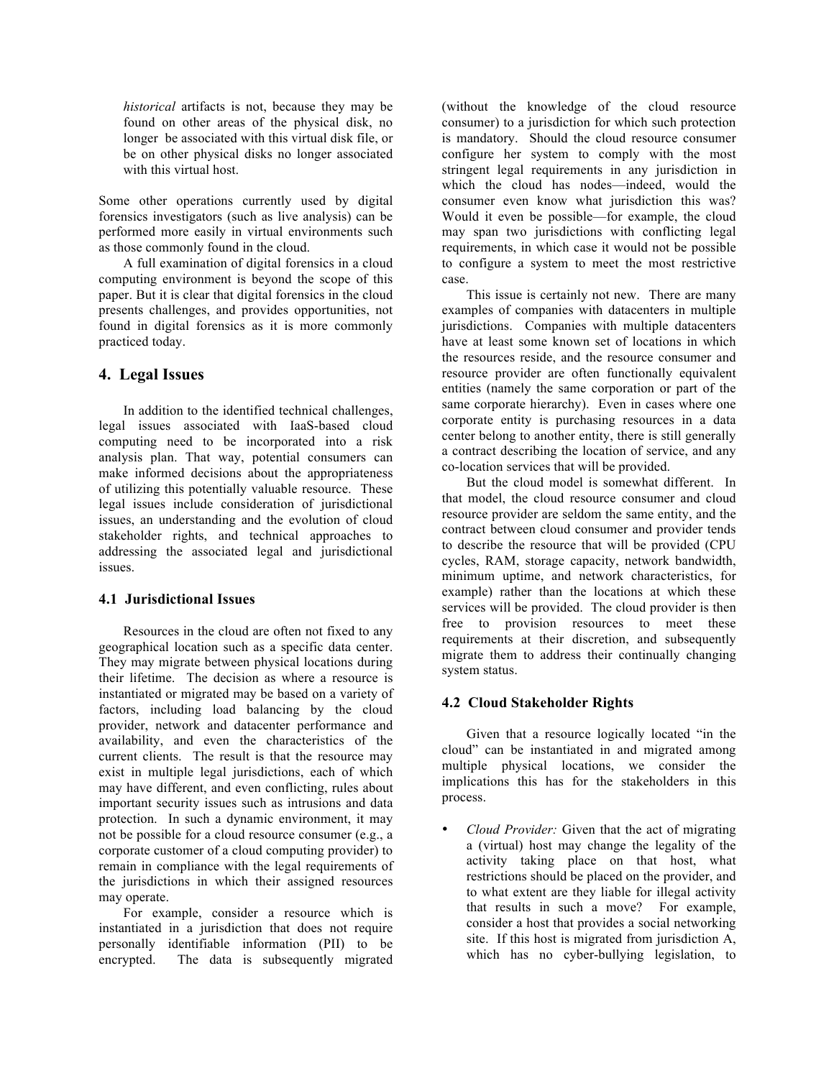*historical* artifacts is not, because they may be found on other areas of the physical disk, no longer be associated with this virtual disk file, or be on other physical disks no longer associated with this virtual host.

Some other operations currently used by digital forensics investigators (such as live analysis) can be performed more easily in virtual environments such as those commonly found in the cloud.

A full examination of digital forensics in a cloud computing environment is beyond the scope of this paper. But it is clear that digital forensics in the cloud presents challenges, and provides opportunities, not found in digital forensics as it is more commonly practiced today.

## **4. Legal Issues**

In addition to the identified technical challenges, legal issues associated with IaaS-based cloud computing need to be incorporated into a risk analysis plan. That way, potential consumers can make informed decisions about the appropriateness of utilizing this potentially valuable resource. These legal issues include consideration of jurisdictional issues, an understanding and the evolution of cloud stakeholder rights, and technical approaches to addressing the associated legal and jurisdictional issues.

#### **4.1 Jurisdictional Issues**

Resources in the cloud are often not fixed to any geographical location such as a specific data center. They may migrate between physical locations during their lifetime. The decision as where a resource is instantiated or migrated may be based on a variety of factors, including load balancing by the cloud provider, network and datacenter performance and availability, and even the characteristics of the current clients. The result is that the resource may exist in multiple legal jurisdictions, each of which may have different, and even conflicting, rules about important security issues such as intrusions and data protection. In such a dynamic environment, it may not be possible for a cloud resource consumer (e.g., a corporate customer of a cloud computing provider) to remain in compliance with the legal requirements of the jurisdictions in which their assigned resources may operate.

For example, consider a resource which is instantiated in a jurisdiction that does not require personally identifiable information (PII) to be encrypted. The data is subsequently migrated (without the knowledge of the cloud resource consumer) to a jurisdiction for which such protection is mandatory. Should the cloud resource consumer configure her system to comply with the most stringent legal requirements in any jurisdiction in which the cloud has nodes—indeed, would the consumer even know what jurisdiction this was? Would it even be possible—for example, the cloud may span two jurisdictions with conflicting legal requirements, in which case it would not be possible to configure a system to meet the most restrictive case.

This issue is certainly not new. There are many examples of companies with datacenters in multiple jurisdictions. Companies with multiple datacenters have at least some known set of locations in which the resources reside, and the resource consumer and resource provider are often functionally equivalent entities (namely the same corporation or part of the same corporate hierarchy). Even in cases where one corporate entity is purchasing resources in a data center belong to another entity, there is still generally a contract describing the location of service, and any co-location services that will be provided.

But the cloud model is somewhat different. In that model, the cloud resource consumer and cloud resource provider are seldom the same entity, and the contract between cloud consumer and provider tends to describe the resource that will be provided (CPU cycles, RAM, storage capacity, network bandwidth, minimum uptime, and network characteristics, for example) rather than the locations at which these services will be provided. The cloud provider is then free to provision resources to meet these requirements at their discretion, and subsequently migrate them to address their continually changing system status.

#### **4.2 Cloud Stakeholder Rights**

Given that a resource logically located "in the cloud" can be instantiated in and migrated among multiple physical locations, we consider the implications this has for the stakeholders in this process.

• *Cloud Provider:* Given that the act of migrating a (virtual) host may change the legality of the activity taking place on that host, what restrictions should be placed on the provider, and to what extent are they liable for illegal activity that results in such a move? For example, consider a host that provides a social networking site. If this host is migrated from jurisdiction A, which has no cyber-bullying legislation, to